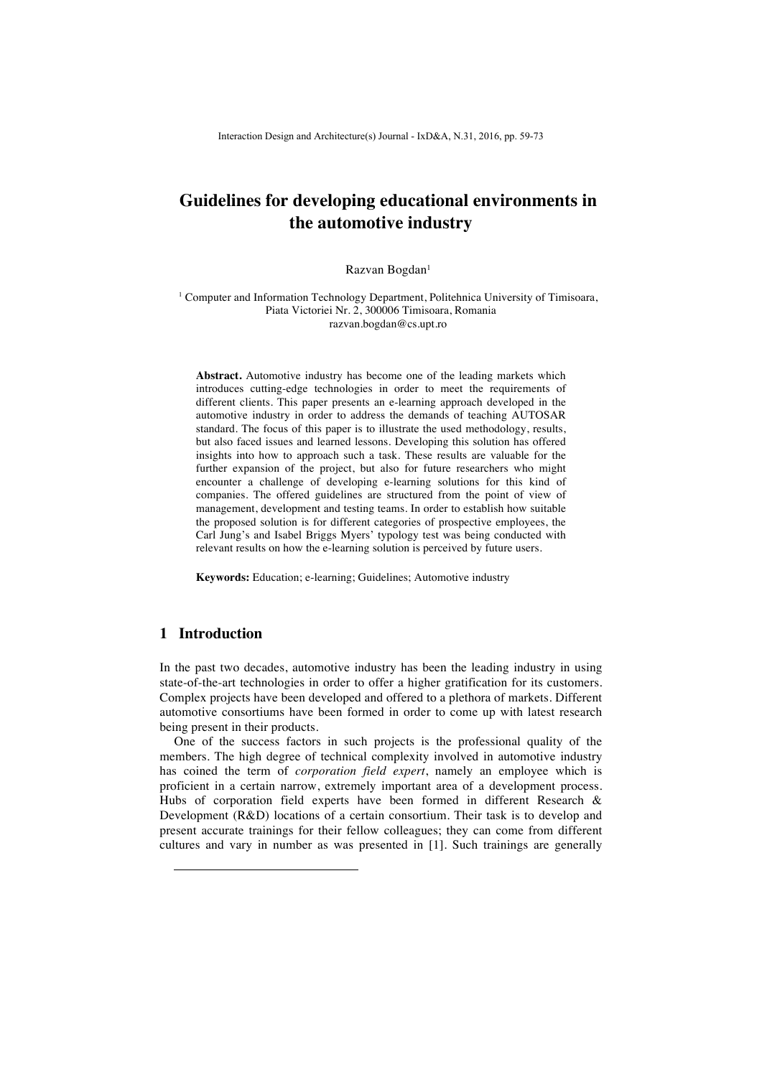# **Guidelines for developing educational environments in the automotive industry**

Razvan Bogdan<sup>1</sup>

<sup>1</sup> Computer and Information Technology Department, Politehnica University of Timisoara, Piata Victoriei Nr. 2, 300006 Timisoara, Romania razvan.bogdan@cs.upt.ro

**Abstract.** Automotive industry has become one of the leading markets which introduces cutting-edge technologies in order to meet the requirements of different clients. This paper presents an e-learning approach developed in the automotive industry in order to address the demands of teaching AUTOSAR standard. The focus of this paper is to illustrate the used methodology, results, but also faced issues and learned lessons. Developing this solution has offered insights into how to approach such a task. These results are valuable for the further expansion of the project, but also for future researchers who might encounter a challenge of developing e-learning solutions for this kind of companies. The offered guidelines are structured from the point of view of management, development and testing teams. In order to establish how suitable the proposed solution is for different categories of prospective employees, the Carl Jung's and Isabel Briggs Myers' typology test was being conducted with relevant results on how the e-learning solution is perceived by future users.

**Keywords:** Education; e-learning; Guidelines; Automotive industry

# **1 Introduction**

-

In the past two decades, automotive industry has been the leading industry in using state-of-the-art technologies in order to offer a higher gratification for its customers. Complex projects have been developed and offered to a plethora of markets. Different automotive consortiums have been formed in order to come up with latest research being present in their products.

One of the success factors in such projects is the professional quality of the members. The high degree of technical complexity involved in automotive industry has coined the term of *corporation field expert*, namely an employee which is proficient in a certain narrow, extremely important area of a development process. Hubs of corporation field experts have been formed in different Research & Development (R&D) locations of a certain consortium. Their task is to develop and present accurate trainings for their fellow colleagues; they can come from different cultures and vary in number as was presented in [1]. Such trainings are generally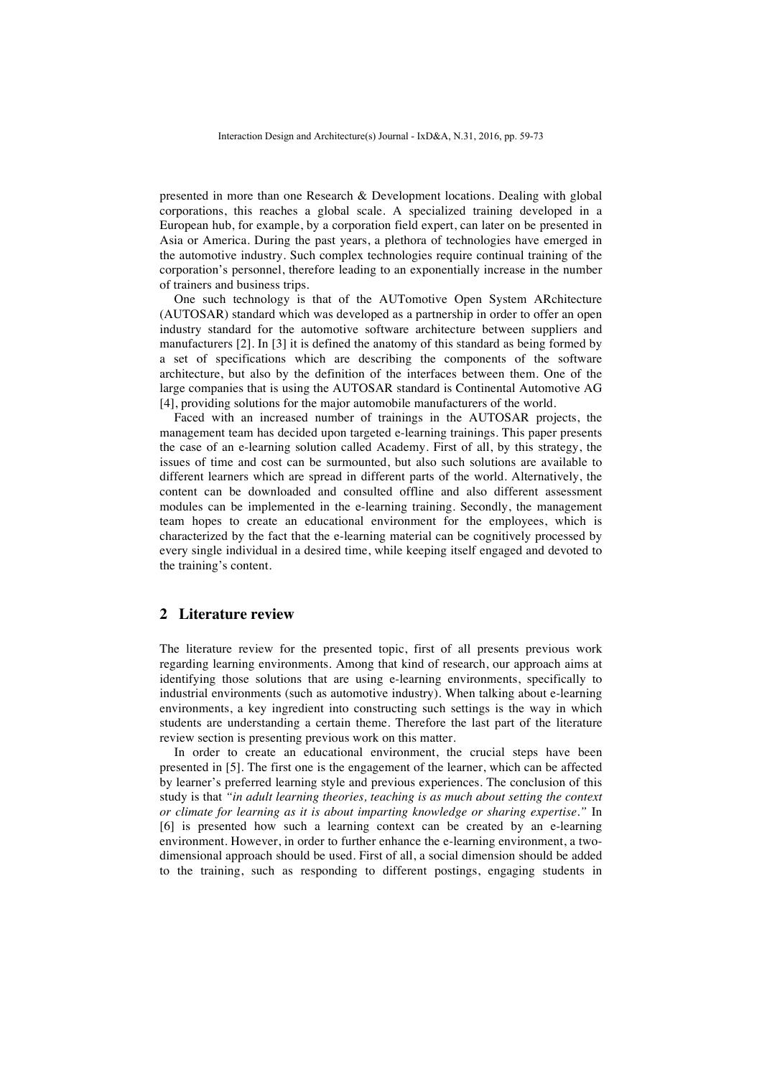presented in more than one Research & Development locations. Dealing with global corporations, this reaches a global scale. A specialized training developed in a European hub, for example, by a corporation field expert, can later on be presented in Asia or America. During the past years, a plethora of technologies have emerged in the automotive industry. Such complex technologies require continual training of the corporation's personnel, therefore leading to an exponentially increase in the number of trainers and business trips.

One such technology is that of the AUTomotive Open System ARchitecture (AUTOSAR) standard which was developed as a partnership in order to offer an open industry standard for the automotive software architecture between suppliers and manufacturers [2]. In [3] it is defined the anatomy of this standard as being formed by a set of specifications which are describing the components of the software architecture, but also by the definition of the interfaces between them. One of the large companies that is using the AUTOSAR standard is Continental Automotive AG [4], providing solutions for the major automobile manufacturers of the world.

Faced with an increased number of trainings in the AUTOSAR projects, the management team has decided upon targeted e-learning trainings. This paper presents the case of an e-learning solution called Academy. First of all, by this strategy, the issues of time and cost can be surmounted, but also such solutions are available to different learners which are spread in different parts of the world. Alternatively, the content can be downloaded and consulted offline and also different assessment modules can be implemented in the e-learning training. Secondly, the management team hopes to create an educational environment for the employees, which is characterized by the fact that the e-learning material can be cognitively processed by every single individual in a desired time, while keeping itself engaged and devoted to the training's content.

# **2 Literature review**

The literature review for the presented topic, first of all presents previous work regarding learning environments. Among that kind of research, our approach aims at identifying those solutions that are using e-learning environments, specifically to industrial environments (such as automotive industry). When talking about e-learning environments, a key ingredient into constructing such settings is the way in which students are understanding a certain theme. Therefore the last part of the literature review section is presenting previous work on this matter.

In order to create an educational environment, the crucial steps have been presented in [5]. The first one is the engagement of the learner, which can be affected by learner's preferred learning style and previous experiences. The conclusion of this study is that *"in adult learning theories, teaching is as much about setting the context or climate for learning as it is about imparting knowledge or sharing expertise."* In [6] is presented how such a learning context can be created by an e-learning environment. However, in order to further enhance the e-learning environment, a twodimensional approach should be used. First of all, a social dimension should be added to the training, such as responding to different postings, engaging students in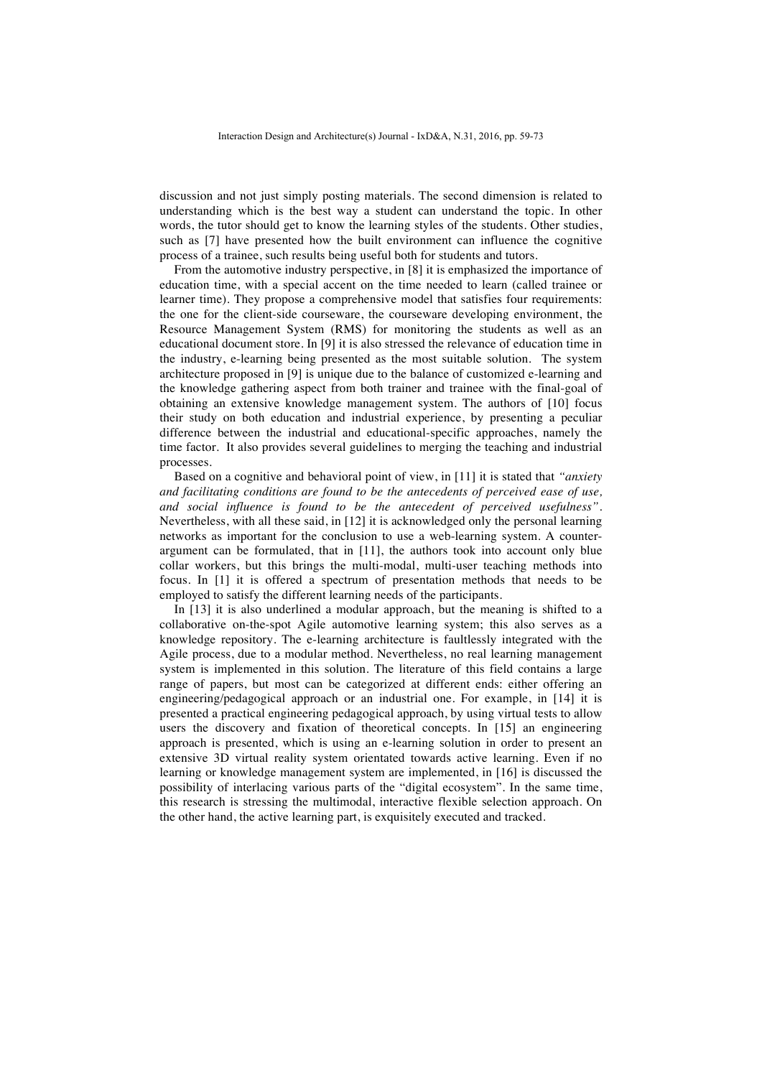discussion and not just simply posting materials. The second dimension is related to understanding which is the best way a student can understand the topic. In other words, the tutor should get to know the learning styles of the students. Other studies, such as [7] have presented how the built environment can influence the cognitive process of a trainee, such results being useful both for students and tutors.

From the automotive industry perspective, in [8] it is emphasized the importance of education time, with a special accent on the time needed to learn (called trainee or learner time). They propose a comprehensive model that satisfies four requirements: the one for the client-side courseware, the courseware developing environment, the Resource Management System (RMS) for monitoring the students as well as an educational document store. In [9] it is also stressed the relevance of education time in the industry, e-learning being presented as the most suitable solution. The system architecture proposed in [9] is unique due to the balance of customized e-learning and the knowledge gathering aspect from both trainer and trainee with the final-goal of obtaining an extensive knowledge management system. The authors of [10] focus their study on both education and industrial experience, by presenting a peculiar difference between the industrial and educational-specific approaches, namely the time factor. It also provides several guidelines to merging the teaching and industrial processes.

Based on a cognitive and behavioral point of view, in [11] it is stated that *"anxiety and facilitating conditions are found to be the antecedents of perceived ease of use, and social influence is found to be the antecedent of perceived usefulness"*. Nevertheless, with all these said, in [12] it is acknowledged only the personal learning networks as important for the conclusion to use a web-learning system. A counterargument can be formulated, that in [11], the authors took into account only blue collar workers, but this brings the multi-modal, multi-user teaching methods into focus. In [1] it is offered a spectrum of presentation methods that needs to be employed to satisfy the different learning needs of the participants.

In [13] it is also underlined a modular approach, but the meaning is shifted to a collaborative on-the-spot Agile automotive learning system; this also serves as a knowledge repository. The e-learning architecture is faultlessly integrated with the Agile process, due to a modular method. Nevertheless, no real learning management system is implemented in this solution. The literature of this field contains a large range of papers, but most can be categorized at different ends: either offering an engineering/pedagogical approach or an industrial one. For example, in [14] it is presented a practical engineering pedagogical approach, by using virtual tests to allow users the discovery and fixation of theoretical concepts. In [15] an engineering approach is presented, which is using an e-learning solution in order to present an extensive 3D virtual reality system orientated towards active learning. Even if no learning or knowledge management system are implemented, in [16] is discussed the possibility of interlacing various parts of the "digital ecosystem". In the same time, this research is stressing the multimodal, interactive flexible selection approach. On the other hand, the active learning part, is exquisitely executed and tracked.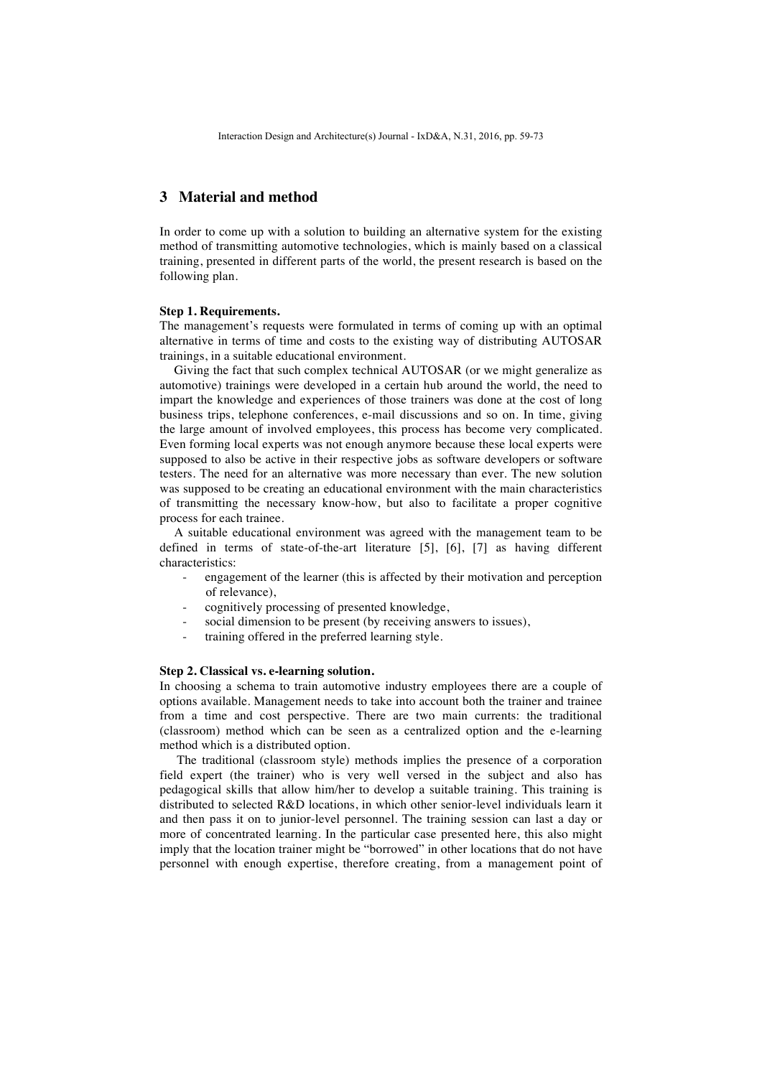# **3 Material and method**

In order to come up with a solution to building an alternative system for the existing method of transmitting automotive technologies, which is mainly based on a classical training, presented in different parts of the world, the present research is based on the following plan.

### **Step 1. Requirements.**

The management's requests were formulated in terms of coming up with an optimal alternative in terms of time and costs to the existing way of distributing AUTOSAR trainings, in a suitable educational environment.

Giving the fact that such complex technical AUTOSAR (or we might generalize as automotive) trainings were developed in a certain hub around the world, the need to impart the knowledge and experiences of those trainers was done at the cost of long business trips, telephone conferences, e-mail discussions and so on. In time, giving the large amount of involved employees, this process has become very complicated. Even forming local experts was not enough anymore because these local experts were supposed to also be active in their respective jobs as software developers or software testers. The need for an alternative was more necessary than ever. The new solution was supposed to be creating an educational environment with the main characteristics of transmitting the necessary know-how, but also to facilitate a proper cognitive process for each trainee.

A suitable educational environment was agreed with the management team to be defined in terms of state-of-the-art literature [5], [6], [7] as having different characteristics:

- engagement of the learner (this is affected by their motivation and perception of relevance),
- cognitively processing of presented knowledge,
- social dimension to be present (by receiving answers to issues),
- training offered in the preferred learning style.

### **Step 2. Classical vs. e-learning solution.**

In choosing a schema to train automotive industry employees there are a couple of options available. Management needs to take into account both the trainer and trainee from a time and cost perspective. There are two main currents: the traditional (classroom) method which can be seen as a centralized option and the e-learning method which is a distributed option.

The traditional (classroom style) methods implies the presence of a corporation field expert (the trainer) who is very well versed in the subject and also has pedagogical skills that allow him/her to develop a suitable training. This training is distributed to selected R&D locations, in which other senior-level individuals learn it and then pass it on to junior-level personnel. The training session can last a day or more of concentrated learning. In the particular case presented here, this also might imply that the location trainer might be "borrowed" in other locations that do not have personnel with enough expertise, therefore creating, from a management point of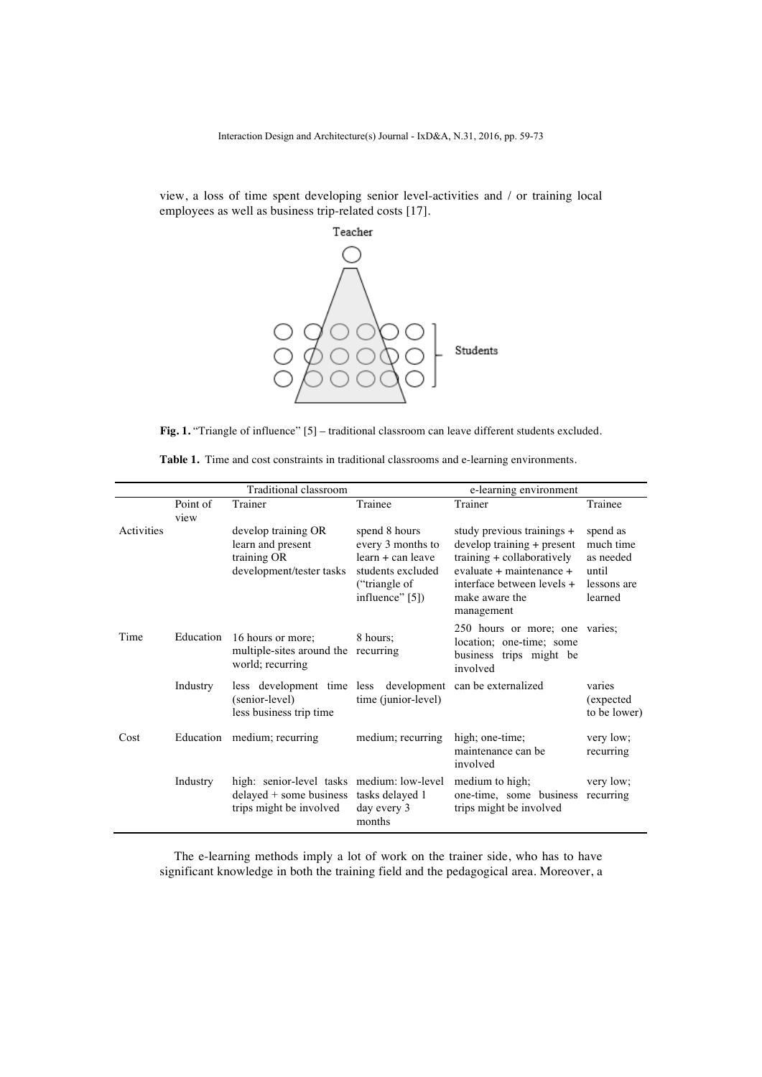view, a loss of time spent developing senior level-activities and / or training local employees as well as business trip-related costs [17].



Fig. 1. "Triangle of influence" [5] – traditional classroom can leave different students excluded.

|            |           | Traditional classroom                                                                                   |                                                                              | e-learning environment                                                                                               |                                              |  |  |
|------------|-----------|---------------------------------------------------------------------------------------------------------|------------------------------------------------------------------------------|----------------------------------------------------------------------------------------------------------------------|----------------------------------------------|--|--|
|            | Point of  | Trainer                                                                                                 | Trainee                                                                      | Trainer                                                                                                              | Trainee                                      |  |  |
| Activities | view      | develop training OR<br>learn and present                                                                | spend 8 hours<br>every 3 months to                                           | study previous trainings +<br>develop training + present                                                             | spend as<br>much time                        |  |  |
|            |           | training OR<br>development/tester tasks                                                                 | $learn + can leave$<br>students excluded<br>("triangle of<br>influence" [5]) | training + collaboratively<br>evaluate + maintenance +<br>interface between levels +<br>make aware the<br>management | as needed<br>until<br>lessons are<br>learned |  |  |
| Time       | Education | 16 hours or more;<br>multiple-sites around the recurring<br>world; recurring                            | 8 hours:                                                                     | 250 hours or more; one varies;<br>location; one-time; some<br>business trips might be<br>involved                    |                                              |  |  |
|            | Industry  | less development time less development can be externalized<br>(senior-level)<br>less business trip time | time (junior-level)                                                          |                                                                                                                      | varies<br>(expected)<br>to be lower)         |  |  |
| Cost       |           | Education medium; recurring                                                                             | medium; recurring                                                            | high; one-time;<br>maintenance can be<br>involved                                                                    | very low;<br>recurring                       |  |  |
|            | Industry  | high: senior-level tasks medium: low-level<br>delayed + some business<br>trips might be involved        | tasks delayed 1<br>day every 3<br>months                                     | medium to high;<br>one-time, some business<br>trips might be involved                                                | very low;<br>recurring                       |  |  |

|  | <b>Table 1.</b> Time and cost constraints in traditional classrooms and e-learning environments |  |  |  |  |
|--|-------------------------------------------------------------------------------------------------|--|--|--|--|
|  |                                                                                                 |  |  |  |  |

The e-learning methods imply a lot of work on the trainer side, who has to have significant knowledge in both the training field and the pedagogical area. Moreover, a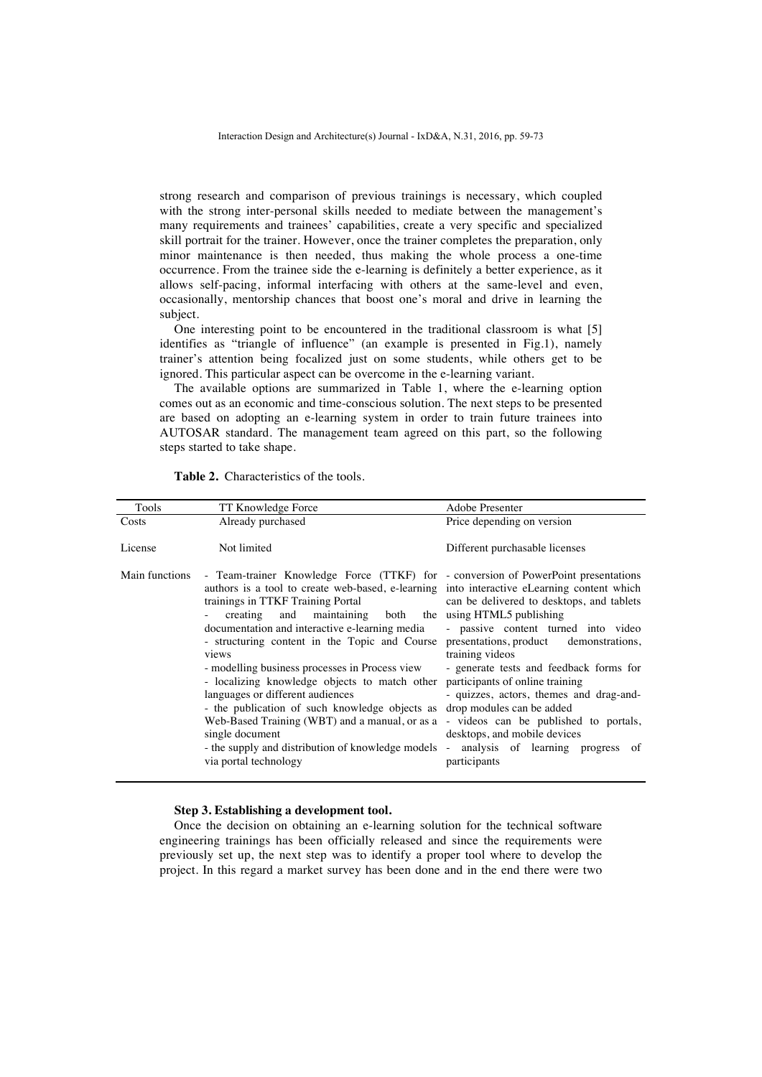strong research and comparison of previous trainings is necessary, which coupled with the strong inter-personal skills needed to mediate between the management's many requirements and trainees' capabilities, create a very specific and specialized skill portrait for the trainer. However, once the trainer completes the preparation, only minor maintenance is then needed, thus making the whole process a one-time occurrence. From the trainee side the e-learning is definitely a better experience, as it allows self-pacing, informal interfacing with others at the same-level and even, occasionally, mentorship chances that boost one's moral and drive in learning the subject.

One interesting point to be encountered in the traditional classroom is what [5] identifies as "triangle of influence" (an example is presented in Fig.1), namely trainer's attention being focalized just on some students, while others get to be ignored. This particular aspect can be overcome in the e-learning variant.

The available options are summarized in Table 1, where the e-learning option comes out as an economic and time-conscious solution. The next steps to be presented are based on adopting an e-learning system in order to train future trainees into AUTOSAR standard. The management team agreed on this part, so the following steps started to take shape.

| Tools          | TT Knowledge Force                                                                                                                                                                                                                                                                                                                                                                                                                                                                                                                                                                                                                                                                                                                                                                                                                                                                                                     | Adobe Presenter                                                                                                                                                                                                                           |
|----------------|------------------------------------------------------------------------------------------------------------------------------------------------------------------------------------------------------------------------------------------------------------------------------------------------------------------------------------------------------------------------------------------------------------------------------------------------------------------------------------------------------------------------------------------------------------------------------------------------------------------------------------------------------------------------------------------------------------------------------------------------------------------------------------------------------------------------------------------------------------------------------------------------------------------------|-------------------------------------------------------------------------------------------------------------------------------------------------------------------------------------------------------------------------------------------|
| Costs          | Already purchased                                                                                                                                                                                                                                                                                                                                                                                                                                                                                                                                                                                                                                                                                                                                                                                                                                                                                                      | Price depending on version                                                                                                                                                                                                                |
| License        | Not limited                                                                                                                                                                                                                                                                                                                                                                                                                                                                                                                                                                                                                                                                                                                                                                                                                                                                                                            | Different purchasable licenses                                                                                                                                                                                                            |
| Main functions | - Team-trainer Knowledge Force (TTKF) for - conversion of PowerPoint presentations<br>authors is a tool to create web-based, e-learning into interactive eLearning content which<br>trainings in TTKF Training Portal<br>maintaining both the using HTML5 publishing<br>creating and<br>documentation and interactive e-learning media<br>- structuring content in the Topic and Course presentations, product demonstrations,<br>views<br>- modelling business processes in Process view<br>- localizing knowledge objects to match other participants of online training<br>languages or different audiences<br>- the publication of such knowledge objects as drop modules can be added<br>Web-Based Training (WBT) and a manual, or as a - videos can be published to portals,<br>single document<br>- the supply and distribution of knowledge models - analysis of learning progress of<br>via portal technology | can be delivered to desktops, and tablets<br>- passive content turned into video<br>training videos<br>- generate tests and feedback forms for<br>- quizzes, actors, themes and drag-and-<br>desktops, and mobile devices<br>participants |

**Table 2.** Characteristics of the tools.

#### **Step 3. Establishing a development tool.**

Once the decision on obtaining an e-learning solution for the technical software engineering trainings has been officially released and since the requirements were previously set up, the next step was to identify a proper tool where to develop the project. In this regard a market survey has been done and in the end there were two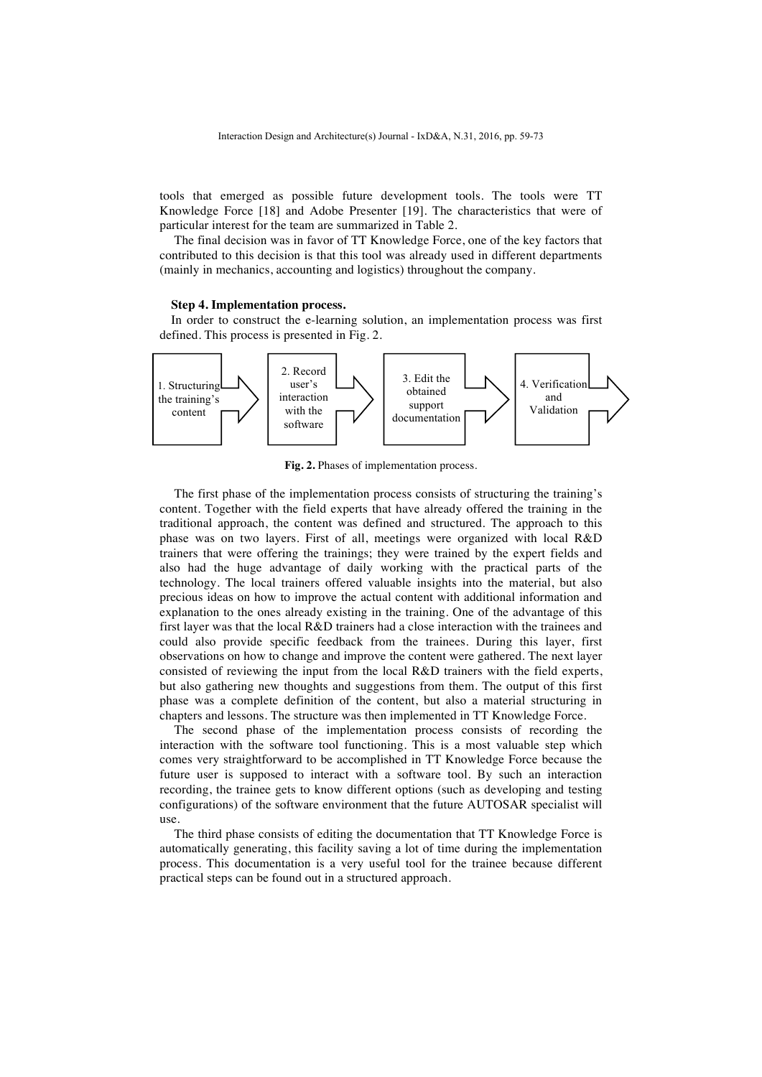tools that emerged as possible future development tools. The tools were TT Knowledge Force [18] and Adobe Presenter [19]. The characteristics that were of particular interest for the team are summarized in Table 2.

The final decision was in favor of TT Knowledge Force, one of the key factors that contributed to this decision is that this tool was already used in different departments (mainly in mechanics, accounting and logistics) throughout the company.

#### **Step 4. Implementation process.**

In order to construct the e-learning solution, an implementation process was first defined. This process is presented in Fig. 2.



**Fig. 2.** Phases of implementation process.

The first phase of the implementation process consists of structuring the training's content. Together with the field experts that have already offered the training in the traditional approach, the content was defined and structured. The approach to this phase was on two layers. First of all, meetings were organized with local R&D trainers that were offering the trainings; they were trained by the expert fields and also had the huge advantage of daily working with the practical parts of the technology. The local trainers offered valuable insights into the material, but also precious ideas on how to improve the actual content with additional information and explanation to the ones already existing in the training. One of the advantage of this first layer was that the local R&D trainers had a close interaction with the trainees and could also provide specific feedback from the trainees. During this layer, first observations on how to change and improve the content were gathered. The next layer consisted of reviewing the input from the local R&D trainers with the field experts, but also gathering new thoughts and suggestions from them. The output of this first phase was a complete definition of the content, but also a material structuring in chapters and lessons. The structure was then implemented in TT Knowledge Force.

The second phase of the implementation process consists of recording the interaction with the software tool functioning. This is a most valuable step which comes very straightforward to be accomplished in TT Knowledge Force because the future user is supposed to interact with a software tool. By such an interaction recording, the trainee gets to know different options (such as developing and testing configurations) of the software environment that the future AUTOSAR specialist will use.

The third phase consists of editing the documentation that TT Knowledge Force is automatically generating, this facility saving a lot of time during the implementation process. This documentation is a very useful tool for the trainee because different practical steps can be found out in a structured approach.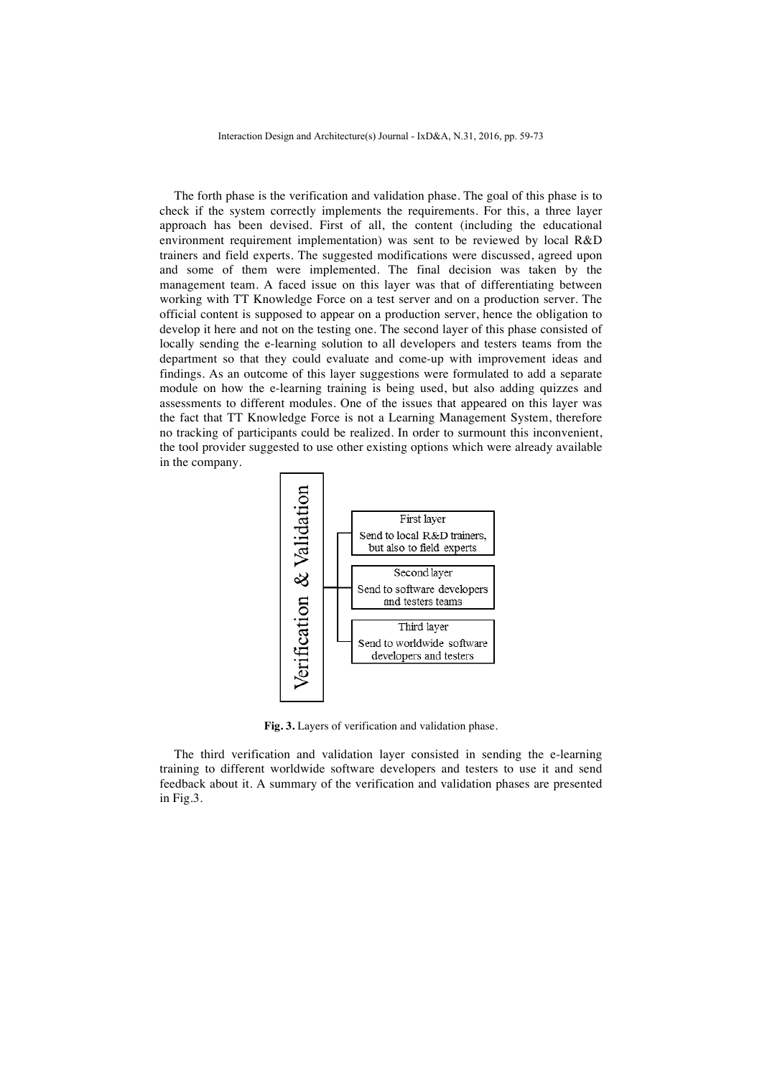The forth phase is the verification and validation phase. The goal of this phase is to check if the system correctly implements the requirements. For this, a three layer approach has been devised. First of all, the content (including the educational environment requirement implementation) was sent to be reviewed by local R&D trainers and field experts. The suggested modifications were discussed, agreed upon and some of them were implemented. The final decision was taken by the management team. A faced issue on this layer was that of differentiating between working with TT Knowledge Force on a test server and on a production server. The official content is supposed to appear on a production server, hence the obligation to develop it here and not on the testing one. The second layer of this phase consisted of locally sending the e-learning solution to all developers and testers teams from the department so that they could evaluate and come-up with improvement ideas and findings. As an outcome of this layer suggestions were formulated to add a separate module on how the e-learning training is being used, but also adding quizzes and assessments to different modules. One of the issues that appeared on this layer was the fact that TT Knowledge Force is not a Learning Management System, therefore no tracking of participants could be realized. In order to surmount this inconvenient, the tool provider suggested to use other existing options which were already available in the company.



**Fig. 3.** Layers of verification and validation phase.

The third verification and validation layer consisted in sending the e-learning training to different worldwide software developers and testers to use it and send feedback about it. A summary of the verification and validation phases are presented in Fig.3.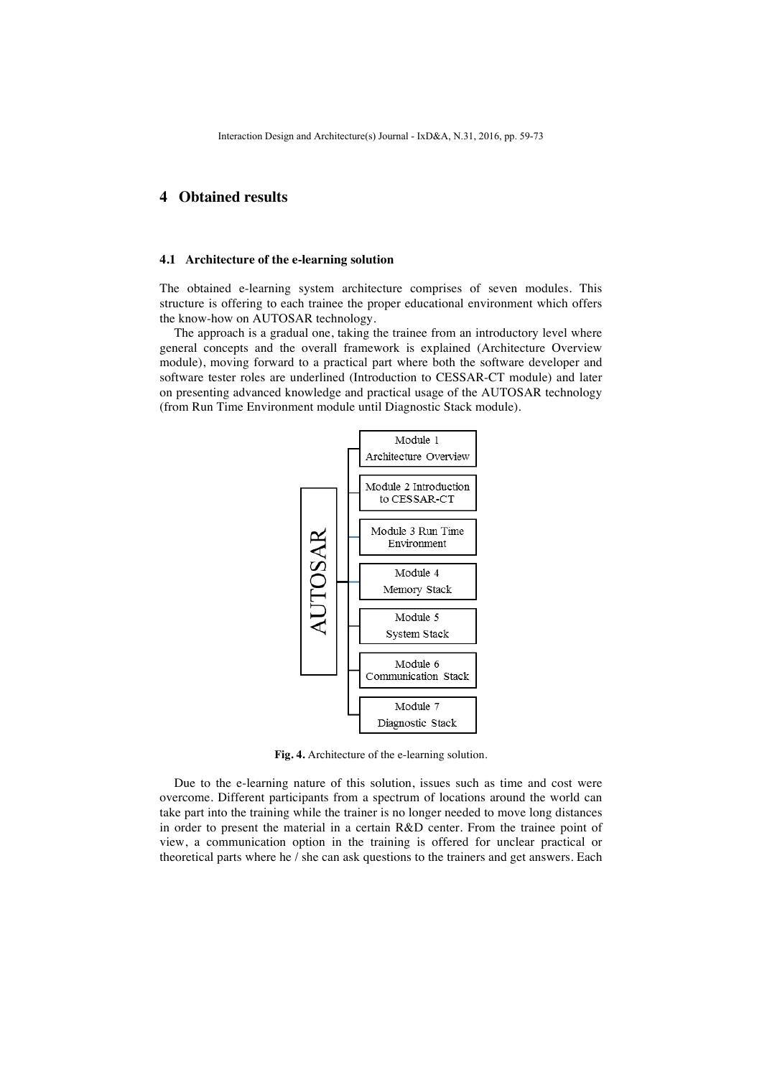# **4 Obtained results**

#### **4.1 Architecture of the e-learning solution**

The obtained e-learning system architecture comprises of seven modules. This structure is offering to each trainee the proper educational environment which offers the know-how on AUTOSAR technology.

The approach is a gradual one, taking the trainee from an introductory level where general concepts and the overall framework is explained (Architecture Overview module), moving forward to a practical part where both the software developer and software tester roles are underlined (Introduction to CESSAR-CT module) and later on presenting advanced knowledge and practical usage of the AUTOSAR technology (from Run Time Environment module until Diagnostic Stack module).



**Fig. 4.** Architecture of the e-learning solution.

Due to the e-learning nature of this solution, issues such as time and cost were overcome. Different participants from a spectrum of locations around the world can take part into the training while the trainer is no longer needed to move long distances in order to present the material in a certain R&D center. From the trainee point of view, a communication option in the training is offered for unclear practical or theoretical parts where he / she can ask questions to the trainers and get answers. Each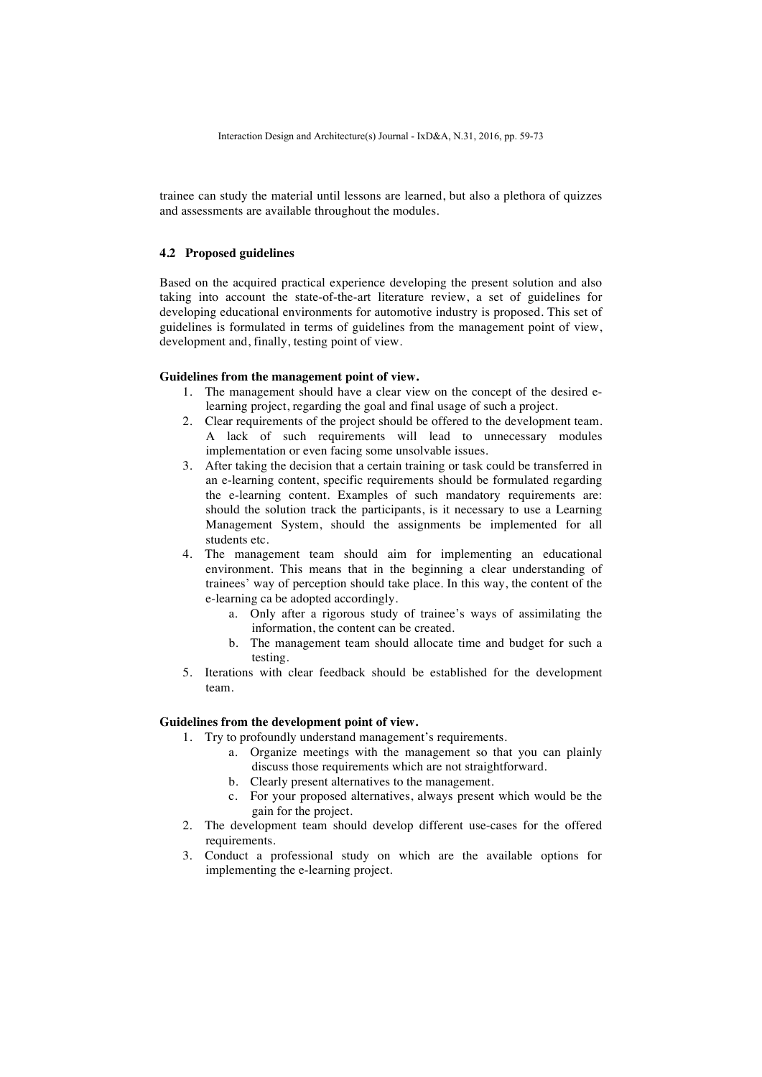trainee can study the material until lessons are learned, but also a plethora of quizzes and assessments are available throughout the modules.

## **4.2 Proposed guidelines**

Based on the acquired practical experience developing the present solution and also taking into account the state-of-the-art literature review, a set of guidelines for developing educational environments for automotive industry is proposed. This set of guidelines is formulated in terms of guidelines from the management point of view, development and, finally, testing point of view.

### **Guidelines from the management point of view.**

- 1. The management should have a clear view on the concept of the desired elearning project, regarding the goal and final usage of such a project.
- 2. Clear requirements of the project should be offered to the development team. A lack of such requirements will lead to unnecessary modules implementation or even facing some unsolvable issues.
- 3. After taking the decision that a certain training or task could be transferred in an e-learning content, specific requirements should be formulated regarding the e-learning content. Examples of such mandatory requirements are: should the solution track the participants, is it necessary to use a Learning Management System, should the assignments be implemented for all students etc.
- 4. The management team should aim for implementing an educational environment. This means that in the beginning a clear understanding of trainees' way of perception should take place. In this way, the content of the e-learning ca be adopted accordingly.
	- a. Only after a rigorous study of trainee's ways of assimilating the information, the content can be created.
	- b. The management team should allocate time and budget for such a testing.
- 5. Iterations with clear feedback should be established for the development team.

### **Guidelines from the development point of view.**

- 1. Try to profoundly understand management's requirements.
	- a. Organize meetings with the management so that you can plainly discuss those requirements which are not straightforward.
	- b. Clearly present alternatives to the management.
	- c. For your proposed alternatives, always present which would be the gain for the project.
- 2. The development team should develop different use-cases for the offered requirements.
- 3. Conduct a professional study on which are the available options for implementing the e-learning project.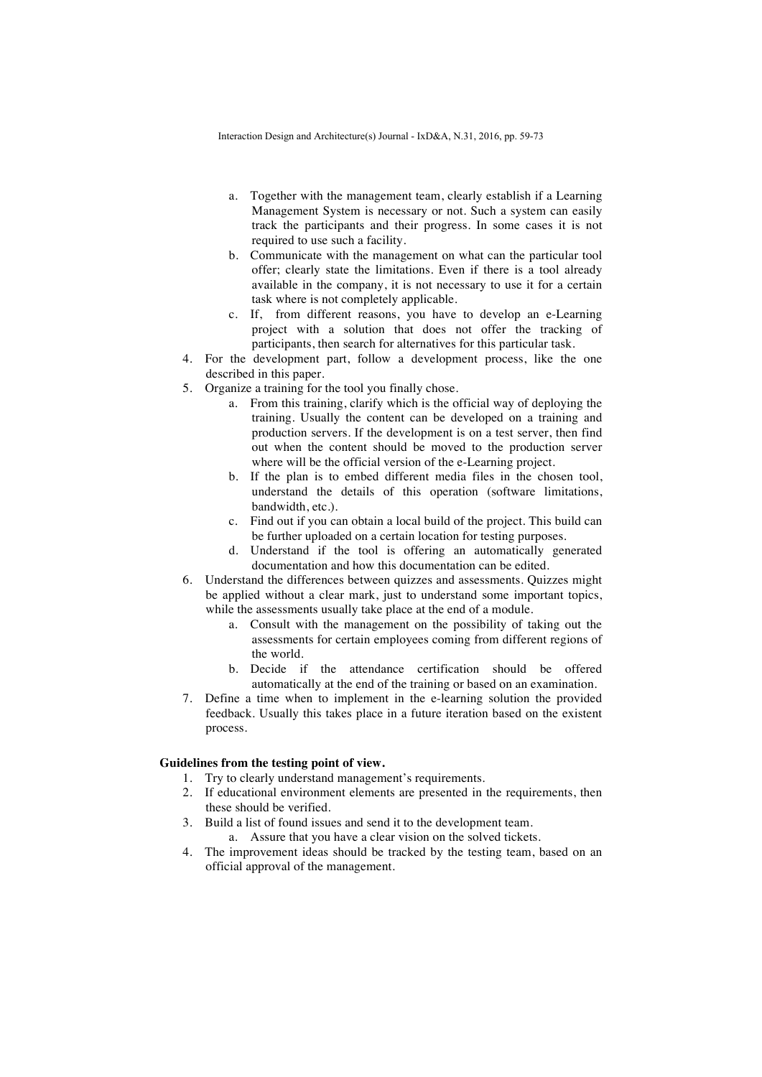- a. Together with the management team, clearly establish if a Learning Management System is necessary or not. Such a system can easily track the participants and their progress. In some cases it is not required to use such a facility.
- b. Communicate with the management on what can the particular tool offer; clearly state the limitations. Even if there is a tool already available in the company, it is not necessary to use it for a certain task where is not completely applicable.
- c. If, from different reasons, you have to develop an e-Learning project with a solution that does not offer the tracking of participants, then search for alternatives for this particular task.
- 4. For the development part, follow a development process, like the one described in this paper.
- 5. Organize a training for the tool you finally chose.
	- a. From this training, clarify which is the official way of deploying the training. Usually the content can be developed on a training and production servers. If the development is on a test server, then find out when the content should be moved to the production server where will be the official version of the e-Learning project.
	- b. If the plan is to embed different media files in the chosen tool, understand the details of this operation (software limitations, bandwidth, etc.).
	- c. Find out if you can obtain a local build of the project. This build can be further uploaded on a certain location for testing purposes.
	- d. Understand if the tool is offering an automatically generated documentation and how this documentation can be edited.
- 6. Understand the differences between quizzes and assessments. Quizzes might be applied without a clear mark, just to understand some important topics, while the assessments usually take place at the end of a module.
	- a. Consult with the management on the possibility of taking out the assessments for certain employees coming from different regions of the world.
	- b. Decide if the attendance certification should be offered automatically at the end of the training or based on an examination.
- 7. Define a time when to implement in the e-learning solution the provided feedback. Usually this takes place in a future iteration based on the existent process.

### **Guidelines from the testing point of view.**

- 1. Try to clearly understand management's requirements.
- 2. If educational environment elements are presented in the requirements, then these should be verified.
- 3. Build a list of found issues and send it to the development team.
	- a. Assure that you have a clear vision on the solved tickets.
- 4. The improvement ideas should be tracked by the testing team, based on an official approval of the management.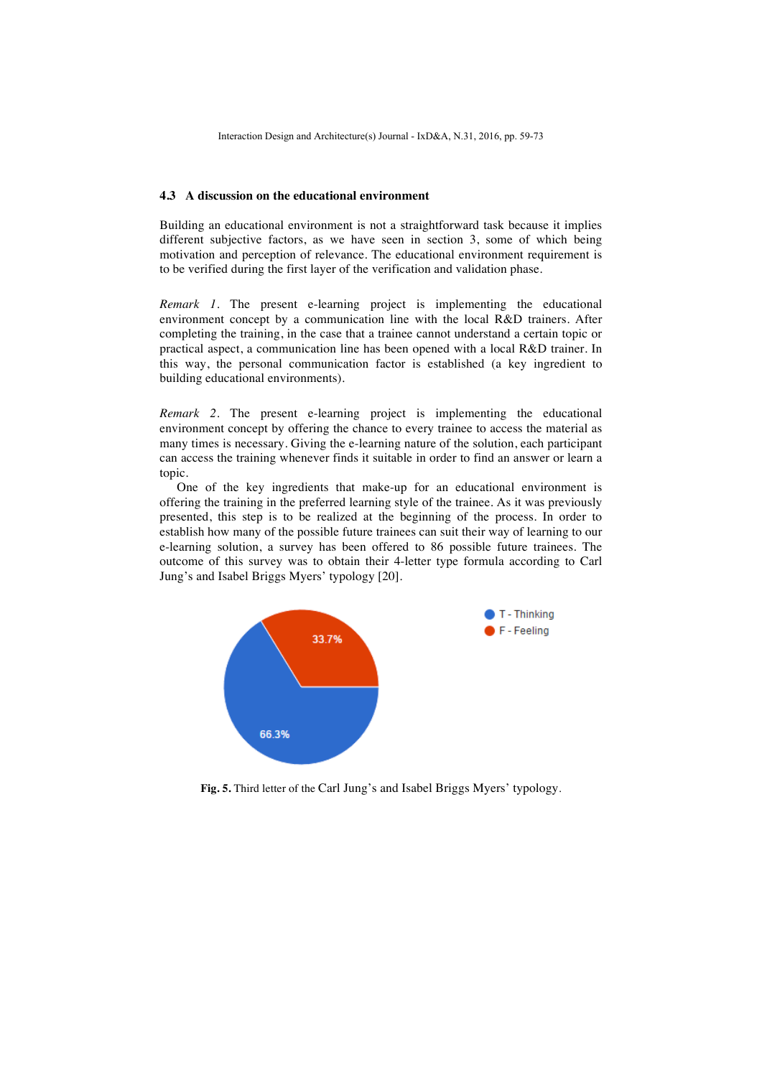### **4.3 A discussion on the educational environment**

Building an educational environment is not a straightforward task because it implies different subjective factors, as we have seen in section 3, some of which being motivation and perception of relevance. The educational environment requirement is to be verified during the first layer of the verification and validation phase.

*Remark 1.* The present e-learning project is implementing the educational environment concept by a communication line with the local R&D trainers. After completing the training, in the case that a trainee cannot understand a certain topic or practical aspect, a communication line has been opened with a local R&D trainer. In this way, the personal communication factor is established (a key ingredient to building educational environments).

*Remark 2.* The present e-learning project is implementing the educational environment concept by offering the chance to every trainee to access the material as many times is necessary. Giving the e-learning nature of the solution, each participant can access the training whenever finds it suitable in order to find an answer or learn a topic.

One of the key ingredients that make-up for an educational environment is offering the training in the preferred learning style of the trainee. As it was previously presented, this step is to be realized at the beginning of the process. In order to establish how many of the possible future trainees can suit their way of learning to our e-learning solution, a survey has been offered to 86 possible future trainees. The outcome of this survey was to obtain their 4-letter type formula according to Carl Jung's and Isabel Briggs Myers' typology [20].



**Fig. 5.** Third letter of the Carl Jung's and Isabel Briggs Myers' typology.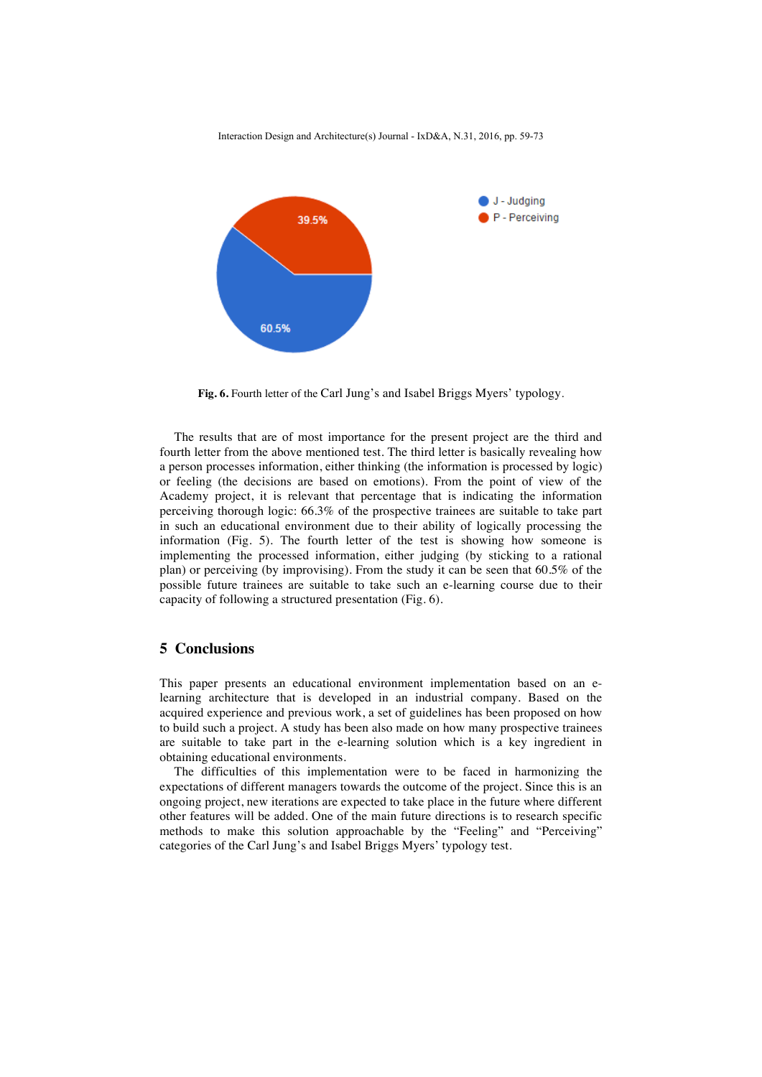

**Fig. 6.** Fourth letter of the Carl Jung's and Isabel Briggs Myers' typology.

The results that are of most importance for the present project are the third and fourth letter from the above mentioned test. The third letter is basically revealing how a person processes information, either thinking (the information is processed by logic) or feeling (the decisions are based on emotions). From the point of view of the Academy project, it is relevant that percentage that is indicating the information perceiving thorough logic: 66.3% of the prospective trainees are suitable to take part in such an educational environment due to their ability of logically processing the information (Fig. 5). The fourth letter of the test is showing how someone is implementing the processed information, either judging (by sticking to a rational plan) or perceiving (by improvising). From the study it can be seen that 60.5% of the possible future trainees are suitable to take such an e-learning course due to their capacity of following a structured presentation (Fig. 6).

## **5 Conclusions**

This paper presents an educational environment implementation based on an elearning architecture that is developed in an industrial company. Based on the acquired experience and previous work, a set of guidelines has been proposed on how to build such a project. A study has been also made on how many prospective trainees are suitable to take part in the e-learning solution which is a key ingredient in obtaining educational environments.

The difficulties of this implementation were to be faced in harmonizing the expectations of different managers towards the outcome of the project. Since this is an ongoing project, new iterations are expected to take place in the future where different other features will be added. One of the main future directions is to research specific methods to make this solution approachable by the "Feeling" and "Perceiving" categories of the Carl Jung's and Isabel Briggs Myers' typology test.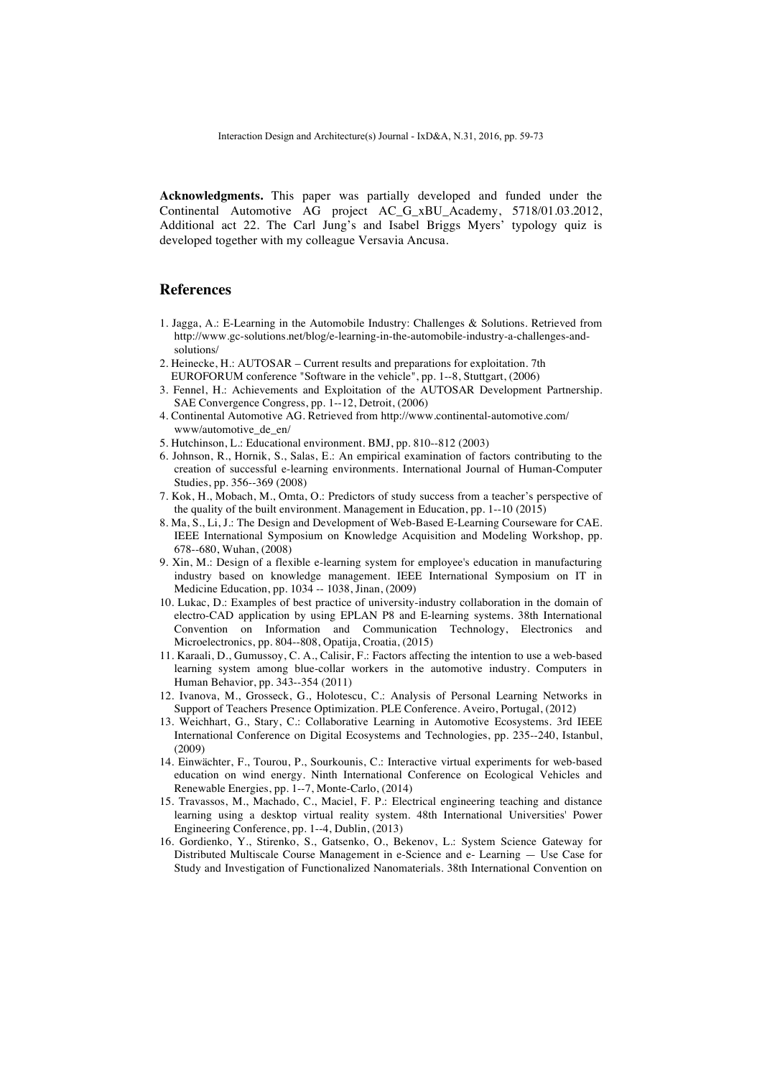**Acknowledgments.** This paper was partially developed and funded under the Continental Automotive AG project AC\_G\_xBU\_Academy, 5718/01.03.2012, Additional act 22. The Carl Jung's and Isabel Briggs Myers' typology quiz is developed together with my colleague Versavia Ancusa.

## **References**

- 1. Jagga, A.: E-Learning in the Automobile Industry: Challenges & Solutions. Retrieved from http://www.gc-solutions.net/blog/e-learning-in-the-automobile-industry-a-challenges-andsolutions/
- 2. Heinecke, H.: AUTOSAR Current results and preparations for exploitation. 7th EUROFORUM conference "Software in the vehicle", pp. 1--8, Stuttgart, (2006)
- 3. Fennel, H.: Achievements and Exploitation of the AUTOSAR Development Partnership. SAE Convergence Congress, pp. 1--12, Detroit, (2006)
- 4. Continental Automotive AG. Retrieved from http://www.continental-automotive.com/ www/automotive\_de\_en/
- 5. Hutchinson, L.: Educational environment. BMJ, pp. 810--812 (2003)
- 6. Johnson, R., Hornik, S., Salas, E.: An empirical examination of factors contributing to the creation of successful e-learning environments. International Journal of Human-Computer Studies, pp. 356--369 (2008)
- 7. Kok, H., Mobach, M., Omta, O.: Predictors of study success from a teacher's perspective of the quality of the built environment. Management in Education, pp. 1--10 (2015)
- 8. Ma, S., Li, J.: The Design and Development of Web-Based E-Learning Courseware for CAE. IEEE International Symposium on Knowledge Acquisition and Modeling Workshop, pp. 678--680, Wuhan, (2008)
- 9. Xin, M.: Design of a flexible e-learning system for employee's education in manufacturing industry based on knowledge management. IEEE International Symposium on IT in Medicine Education, pp. 1034 -- 1038, Jinan, (2009)
- 10. Lukac, D.: Examples of best practice of university-industry collaboration in the domain of electro-CAD application by using EPLAN P8 and E-learning systems. 38th International Convention on Information and Communication Technology, Electronics and Microelectronics, pp. 804--808, Opatija, Croatia, (2015)
- 11. Karaali, D., Gumussoy, C. A., Calisir, F.: Factors affecting the intention to use a web-based learning system among blue-collar workers in the automotive industry. Computers in Human Behavior, pp. 343--354 (2011)
- 12. Ivanova, M., Grosseck, G., Holotescu, C.: Analysis of Personal Learning Networks in Support of Teachers Presence Optimization. PLE Conference. Aveiro, Portugal, (2012)
- 13. Weichhart, G., Stary, C.: Collaborative Learning in Automotive Ecosystems. 3rd IEEE International Conference on Digital Ecosystems and Technologies, pp. 235--240, Istanbul, (2009)
- 14. Einwächter, F., Tourou, P., Sourkounis, C.: Interactive virtual experiments for web-based education on wind energy. Ninth International Conference on Ecological Vehicles and Renewable Energies, pp. 1--7, Monte-Carlo, (2014)
- 15. Travassos, M., Machado, C., Maciel, F. P.: Electrical engineering teaching and distance learning using a desktop virtual reality system. 48th International Universities' Power Engineering Conference, pp. 1--4, Dublin, (2013)
- 16. Gordienko, Y., Stirenko, S., Gatsenko, O., Bekenov, L.: System Science Gateway for Distributed Multiscale Course Management in e-Science and e- Learning — Use Case for Study and Investigation of Functionalized Nanomaterials. 38th International Convention on